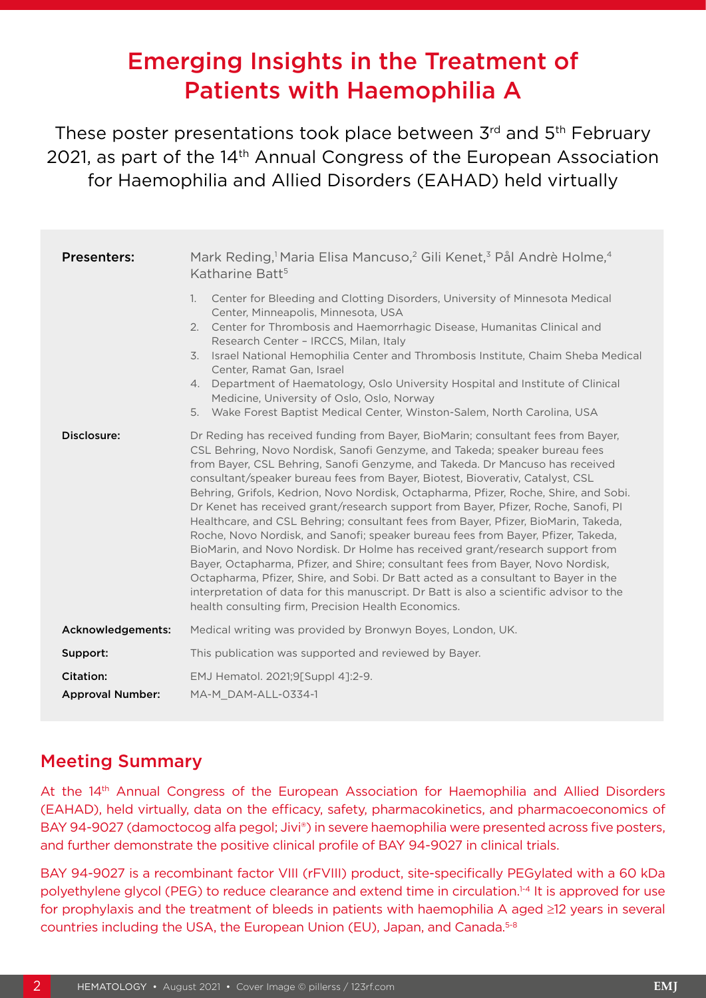# Emerging Insights in the Treatment of Patients with Haemophilia A

These poster presentations took place between 3rd and 5<sup>th</sup> February 2021, as part of the 14<sup>th</sup> Annual Congress of the European Association for Haemophilia and Allied Disorders (EAHAD) held virtually

| <b>Presenters:</b>      | Mark Reding, <sup>1</sup> Maria Elisa Mancuso, <sup>2</sup> Gili Kenet, <sup>3</sup> Pål Andrè Holme, <sup>4</sup><br>Katharine Batt <sup>5</sup>                                                                                                                                                                                                                                                                                                                                                                                                                                                                                                                                                                                                                                                                                                                                                                                                                                                                                                                                                   |
|-------------------------|-----------------------------------------------------------------------------------------------------------------------------------------------------------------------------------------------------------------------------------------------------------------------------------------------------------------------------------------------------------------------------------------------------------------------------------------------------------------------------------------------------------------------------------------------------------------------------------------------------------------------------------------------------------------------------------------------------------------------------------------------------------------------------------------------------------------------------------------------------------------------------------------------------------------------------------------------------------------------------------------------------------------------------------------------------------------------------------------------------|
|                         | Center for Bleeding and Clotting Disorders, University of Minnesota Medical<br>$\mathbf{1}$ .<br>Center, Minneapolis, Minnesota, USA<br>Center for Thrombosis and Haemorrhagic Disease, Humanitas Clinical and<br>2.<br>Research Center - IRCCS, Milan, Italy<br>Israel National Hemophilia Center and Thrombosis Institute, Chaim Sheba Medical<br>3.<br>Center, Ramat Gan, Israel<br>Department of Haematology, Oslo University Hospital and Institute of Clinical<br>4.<br>Medicine, University of Oslo, Oslo, Norway<br>5. Wake Forest Baptist Medical Center, Winston-Salem, North Carolina, USA                                                                                                                                                                                                                                                                                                                                                                                                                                                                                               |
| Disclosure:             | Dr Reding has received funding from Bayer, BioMarin; consultant fees from Bayer,<br>CSL Behring, Novo Nordisk, Sanofi Genzyme, and Takeda; speaker bureau fees<br>from Bayer, CSL Behring, Sanofi Genzyme, and Takeda. Dr Mancuso has received<br>consultant/speaker bureau fees from Bayer, Biotest, Bioverativ, Catalyst, CSL<br>Behring, Grifols, Kedrion, Novo Nordisk, Octapharma, Pfizer, Roche, Shire, and Sobi.<br>Dr Kenet has received grant/research support from Bayer, Pfizer, Roche, Sanofi, PI<br>Healthcare, and CSL Behring; consultant fees from Bayer, Pfizer, BioMarin, Takeda,<br>Roche, Novo Nordisk, and Sanofi; speaker bureau fees from Bayer, Pfizer, Takeda,<br>BioMarin, and Novo Nordisk. Dr Holme has received grant/research support from<br>Bayer, Octapharma, Pfizer, and Shire; consultant fees from Bayer, Novo Nordisk,<br>Octapharma, Pfizer, Shire, and Sobi. Dr Batt acted as a consultant to Bayer in the<br>interpretation of data for this manuscript. Dr Batt is also a scientific advisor to the<br>health consulting firm, Precision Health Economics. |
| Acknowledgements:       | Medical writing was provided by Bronwyn Boyes, London, UK.                                                                                                                                                                                                                                                                                                                                                                                                                                                                                                                                                                                                                                                                                                                                                                                                                                                                                                                                                                                                                                          |
| Support:                | This publication was supported and reviewed by Bayer.                                                                                                                                                                                                                                                                                                                                                                                                                                                                                                                                                                                                                                                                                                                                                                                                                                                                                                                                                                                                                                               |
| Citation:               | EMJ Hematol. 2021;9[Suppl 4]:2-9.                                                                                                                                                                                                                                                                                                                                                                                                                                                                                                                                                                                                                                                                                                                                                                                                                                                                                                                                                                                                                                                                   |
| <b>Approval Number:</b> | MA-M_DAM-ALL-0334-1                                                                                                                                                                                                                                                                                                                                                                                                                                                                                                                                                                                                                                                                                                                                                                                                                                                                                                                                                                                                                                                                                 |

### Meeting Summary

At the 14<sup>th</sup> Annual Congress of the European Association for Haemophilia and Allied Disorders (EAHAD), held virtually, data on the efficacy, safety, pharmacokinetics, and pharmacoeconomics of BAY 94-9027 (damoctocog alfa pegol; Jivi®) in severe haemophilia were presented across five posters, and further demonstrate the positive clinical profile of BAY 94-9027 in clinical trials.

BAY 94-9027 is a recombinant factor VIII (rFVIII) product, site-specifically PEGylated with a 60 kDa polyethylene glycol (PEG) to reduce clearance and extend time in circulation.1-4 It is approved for use for prophylaxis and the treatment of bleeds in patients with haemophilia A aged ≥12 years in several countries including the USA, the European Union (EU), Japan, and Canada.<sup>5-8</sup>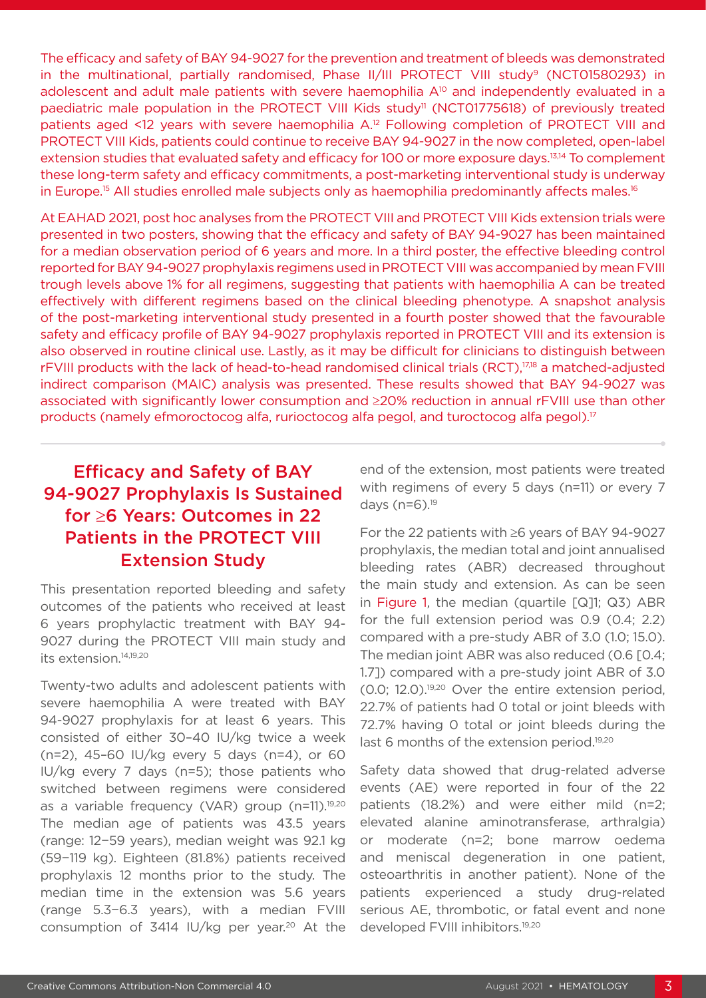The efficacy and safety of BAY 94-9027 for the prevention and treatment of bleeds was demonstrated in the multinational, partially randomised, Phase II/III PROTECT VIII study<sup>9</sup> (NCT01580293) in adolescent and adult male patients with severe haemophilia A<sup>10</sup> and independently evaluated in a paediatric male population in the PROTECT VIII Kids study<sup>11</sup> (NCT01775618) of previously treated patients aged <12 years with severe haemophilia A.<sup>12</sup> Following completion of PROTECT VIII and PROTECT VIII Kids, patients could continue to receive BAY 94-9027 in the now completed, open-label extension studies that evaluated safety and efficacy for 100 or more exposure days.13,14 To complement these long-term safety and efficacy commitments, a post-marketing interventional study is underway in Europe.<sup>15</sup> All studies enrolled male subjects only as haemophilia predominantly affects males.<sup>16</sup>

At EAHAD 2021, post hoc analyses from the PROTECT VIII and PROTECT VIII Kids extension trials were presented in two posters, showing that the efficacy and safety of BAY 94-9027 has been maintained for a median observation period of 6 years and more. In a third poster, the effective bleeding control reported for BAY 94-9027 prophylaxis regimens used in PROTECT VIII was accompanied by mean FVIII trough levels above 1% for all regimens, suggesting that patients with haemophilia A can be treated effectively with different regimens based on the clinical bleeding phenotype. A snapshot analysis of the post-marketing interventional study presented in a fourth poster showed that the favourable safety and efficacy profile of BAY 94-9027 prophylaxis reported in PROTECT VIII and its extension is also observed in routine clinical use. Lastly, as it may be difficult for clinicians to distinguish between rFVIII products with the lack of head-to-head randomised clinical trials (RCT),<sup>17,18</sup> a matched-adjusted indirect comparison (MAIC) analysis was presented. These results showed that BAY 94-9027 was associated with significantly lower consumption and ≥20% reduction in annual rFVIII use than other products (namely efmoroctocog alfa, rurioctocog alfa pegol, and turoctocog alfa pegol).17

## Efficacy and Safety of BAY 94-9027 Prophylaxis Is Sustained for ≥6 Years: Outcomes in 22 Patients in the PROTECT VIII Extension Study

This presentation reported bleeding and safety outcomes of the patients who received at least 6 years prophylactic treatment with BAY 94- 9027 during the PROTECT VIII main study and its extension.14,19,20

Twenty-two adults and adolescent patients with severe haemophilia A were treated with BAY 94-9027 prophylaxis for at least 6 years. This consisted of either 30–40 IU/kg twice a week (n=2), 45–60 IU/kg every 5 days (n=4), or 60 IU/kg every 7 days (n=5); those patients who switched between regimens were considered as a variable frequency (VAR) group (n=11).<sup>19,20</sup> The median age of patients was 43.5 years (range: 12−59 years), median weight was 92.1 kg (59−119 kg). Eighteen (81.8%) patients received prophylaxis 12 months prior to the study. The median time in the extension was 5.6 years (range 5.3−6.3 years), with a median FVIII consumption of 3414  $|U/kg$  per year.<sup>20</sup> At the

end of the extension, most patients were treated with regimens of every 5 days (n=11) or every 7 days (n=6).19

For the 22 patients with ≥6 years of BAY 94-9027 prophylaxis, the median total and joint annualised bleeding rates (ABR) decreased throughout the main study and extension. As can be seen in Figure 1, the median (quartile [Q]1; Q3) ABR for the full extension period was 0.9 (0.4; 2.2) compared with a pre-study ABR of 3.0 (1.0; 15.0). The median joint ABR was also reduced (0.6 [0.4; 1.7]) compared with a pre-study joint ABR of 3.0 (0.0; 12.0).19,20 Over the entire extension period, 22.7% of patients had 0 total or joint bleeds with 72.7% having 0 total or joint bleeds during the last 6 months of the extension period.<sup>19,20</sup>

Safety data showed that drug-related adverse events (AE) were reported in four of the 22 patients (18.2%) and were either mild (n=2; elevated alanine aminotransferase, arthralgia) or moderate (n=2; bone marrow oedema and meniscal degeneration in one patient, osteoarthritis in another patient). None of the patients experienced a study drug-related serious AE, thrombotic, or fatal event and none developed FVIII inhibitors.<sup>19,20</sup>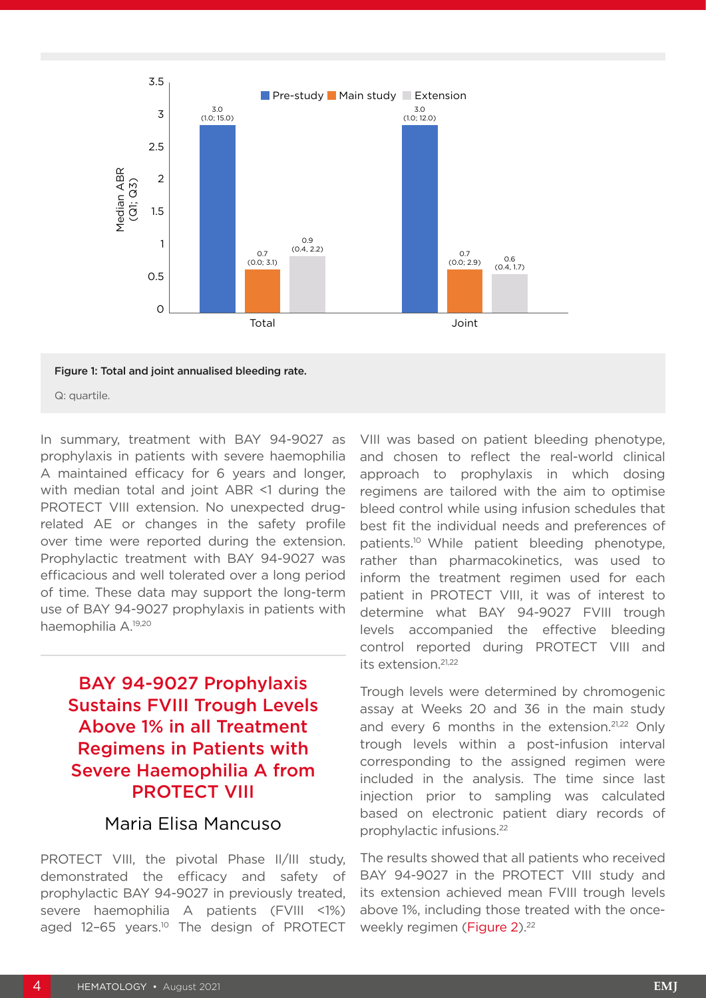

#### Figure 1: Total and joint annualised bleeding rate.

Q: quartile.

In summary, treatment with BAY 94-9027 as prophylaxis in patients with severe haemophilia A maintained efficacy for 6 years and longer, with median total and joint ABR <1 during the PROTECT VIII extension. No unexpected drugrelated AE or changes in the safety profile over time were reported during the extension. Prophylactic treatment with BAY 94-9027 was efficacious and well tolerated over a long period of time. These data may support the long-term use of BAY 94-9027 prophylaxis in patients with haemophilia A.19,20

### BAY 94-9027 Prophylaxis Sustains FVIII Trough Levels Above 1% in all Treatment Regimens in Patients with Severe Haemophilia A from PROTECT VIII

### Maria Elisa Mancuso

PROTECT VIII, the pivotal Phase II/III study, demonstrated the efficacy and safety of prophylactic BAY 94-9027 in previously treated, severe haemophilia A patients (FVIII <1%) aged 12-65 years.<sup>10</sup> The design of PROTECT

VIII was based on patient bleeding phenotype, and chosen to reflect the real-world clinical approach to prophylaxis in which dosing regimens are tailored with the aim to optimise bleed control while using infusion schedules that best fit the individual needs and preferences of patients.10 While patient bleeding phenotype, rather than pharmacokinetics, was used to inform the treatment regimen used for each patient in PROTECT VIII, it was of interest to determine what BAY 94-9027 FVIII trough levels accompanied the effective bleeding control reported during PROTECT VIII and its extension.21,22

Trough levels were determined by chromogenic assay at Weeks 20 and 36 in the main study and every 6 months in the extension.<sup>21,22</sup> Only trough levels within a post-infusion interval corresponding to the assigned regimen were included in the analysis. The time since last injection prior to sampling was calculated based on electronic patient diary records of prophylactic infusions.22

The results showed that all patients who received BAY 94-9027 in the PROTECT VIII study and its extension achieved mean FVIII trough levels above 1%, including those treated with the onceweekly regimen (Figure 2).<sup>22</sup>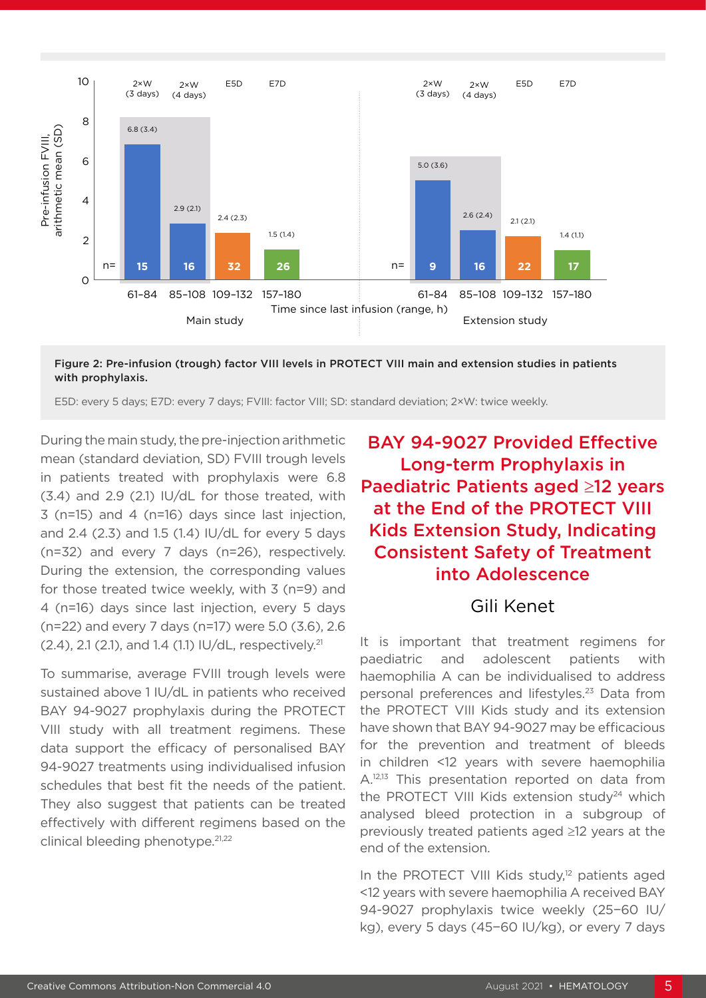

Figure 2: Pre-infusion (trough) factor VIII levels in PROTECT VIII main and extension studies in patients with prophylaxis.

E5D: every 5 days; E7D: every 7 days; FVIII: factor VIII; SD: standard deviation; 2×W: twice weekly.

During the main study, the pre-injection arithmetic mean (standard deviation, SD) FVIII trough levels in patients treated with prophylaxis were 6.8 (3.4) and 2.9 (2.1) IU/dL for those treated, with 3 (n=15) and 4 (n=16) days since last injection, and 2.4 (2.3) and 1.5 (1.4) IU/dL for every 5 days (n=32) and every 7 days (n=26), respectively. During the extension, the corresponding values for those treated twice weekly, with 3 (n=9) and 4 (n=16) days since last injection, every 5 days (n=22) and every 7 days (n=17) were 5.0 (3.6), 2.6 (2.4), 2.1 (2.1), and 1.4 (1.1) IU/dL, respectively.21

To summarise, average FVIII trough levels were sustained above 1 IU/dL in patients who received BAY 94-9027 prophylaxis during the PROTECT VIII study with all treatment regimens. These data support the efficacy of personalised BAY 94-9027 treatments using individualised infusion schedules that best fit the needs of the patient. They also suggest that patients can be treated effectively with different regimens based on the clinical bleeding phenotype.21,22

## BAY 94-9027 Provided Effective Long-term Prophylaxis in Paediatric Patients aged ≥12 years at the End of the PROTECT VIII Kids Extension Study, Indicating Consistent Safety of Treatment into Adolescence

#### Gili Kenet

It is important that treatment regimens for paediatric and adolescent patients with haemophilia A can be individualised to address personal preferences and lifestyles.<sup>23</sup> Data from the PROTECT VIII Kids study and its extension have shown that BAY 94-9027 may be efficacious for the prevention and treatment of bleeds in children <12 years with severe haemophilia A.<sup>12,13</sup> This presentation reported on data from the PROTECT VIII Kids extension study<sup>24</sup> which analysed bleed protection in a subgroup of previously treated patients aged ≥12 years at the end of the extension.

In the PROTECT VIII Kids study,<sup>12</sup> patients aged <12 years with severe haemophilia A received BAY 94-9027 prophylaxis twice weekly (25−60 IU/ kg), every 5 days (45−60 IU/kg), or every 7 days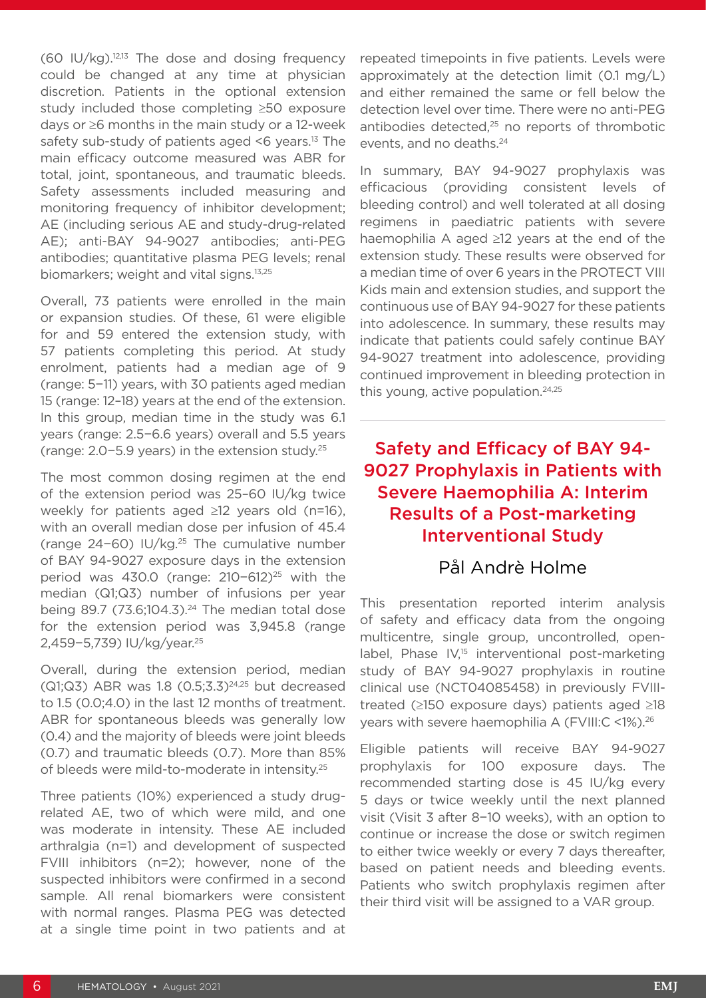$(60 \text{ IU/kg})$ .<sup>12,13</sup> The dose and dosing frequency could be changed at any time at physician discretion. Patients in the optional extension study included those completing ≥50 exposure days or ≥6 months in the main study or a 12-week safety sub-study of patients aged  $<6$  years.<sup>13</sup> The main efficacy outcome measured was ABR for total, joint, spontaneous, and traumatic bleeds. Safety assessments included measuring and monitoring frequency of inhibitor development; AE (including serious AE and study-drug-related AE); anti-BAY 94-9027 antibodies; anti-PEG antibodies; quantitative plasma PEG levels; renal biomarkers; weight and vital signs.13,25

Overall, 73 patients were enrolled in the main or expansion studies. Of these, 61 were eligible for and 59 entered the extension study, with 57 patients completing this period. At study enrolment, patients had a median age of 9 (range: 5−11) years, with 30 patients aged median 15 (range: 12–18) years at the end of the extension. In this group, median time in the study was 6.1 years (range: 2.5−6.6 years) overall and 5.5 years (range: 2.0−5.9 years) in the extension study.25

The most common dosing regimen at the end of the extension period was 25–60 IU/kg twice weekly for patients aged ≥12 years old (n=16), with an overall median dose per infusion of 45.4 (range 24−60) IU/kg.25 The cumulative number of BAY 94-9027 exposure days in the extension period was 430.0 (range: 210−612)<sup>25</sup> with the median (Q1;Q3) number of infusions per year being 89.7 (73.6;104.3). $24$  The median total dose for the extension period was 3,945.8 (range 2,459−5,739) IU/kg/year.25

Overall, during the extension period, median ( $Q1;Q3$ ) ABR was 1.8  $(0.5;3.3)^{24,25}$  but decreased to 1.5 (0.0;4.0) in the last 12 months of treatment. ABR for spontaneous bleeds was generally low (0.4) and the majority of bleeds were joint bleeds (0.7) and traumatic bleeds (0.7). More than 85% of bleeds were mild-to-moderate in intensity.25

Three patients (10%) experienced a study drugrelated AE, two of which were mild, and one was moderate in intensity. These AE included arthralgia (n=1) and development of suspected FVIII inhibitors (n=2); however, none of the suspected inhibitors were confirmed in a second sample. All renal biomarkers were consistent with normal ranges. Plasma PEG was detected at a single time point in two patients and at repeated timepoints in five patients. Levels were approximately at the detection limit (0.1 mg/L) and either remained the same or fell below the detection level over time. There were no anti-PEG antibodies detected,<sup>25</sup> no reports of thrombotic events, and no deaths.<sup>24</sup>

In summary, BAY 94-9027 prophylaxis was efficacious (providing consistent levels of bleeding control) and well tolerated at all dosing regimens in paediatric patients with severe haemophilia A aged ≥12 years at the end of the extension study. These results were observed for a median time of over 6 years in the PROTECT VIII Kids main and extension studies, and support the continuous use of BAY 94-9027 for these patients into adolescence. In summary, these results may indicate that patients could safely continue BAY 94-9027 treatment into adolescence, providing continued improvement in bleeding protection in this young, active population.<sup>24,25</sup>

## Safety and Efficacy of BAY 94- 9027 Prophylaxis in Patients with Severe Haemophilia A: Interim Results of a Post-marketing Interventional Study

### Pål Andrè Holme

This presentation reported interim analysis of safety and efficacy data from the ongoing multicentre, single group, uncontrolled, openlabel, Phase IV,<sup>15</sup> interventional post-marketing study of BAY 94-9027 prophylaxis in routine clinical use (NCT04085458) in previously FVIIItreated (≥150 exposure days) patients aged ≥18 years with severe haemophilia A (FVIII:C <1%).26

Eligible patients will receive BAY 94-9027 prophylaxis for 100 exposure days. The recommended starting dose is 45 IU/kg every 5 days or twice weekly until the next planned visit (Visit 3 after 8−10 weeks), with an option to continue or increase the dose or switch regimen to either twice weekly or every 7 days thereafter, based on patient needs and bleeding events. Patients who switch prophylaxis regimen after their third visit will be assigned to a VAR group.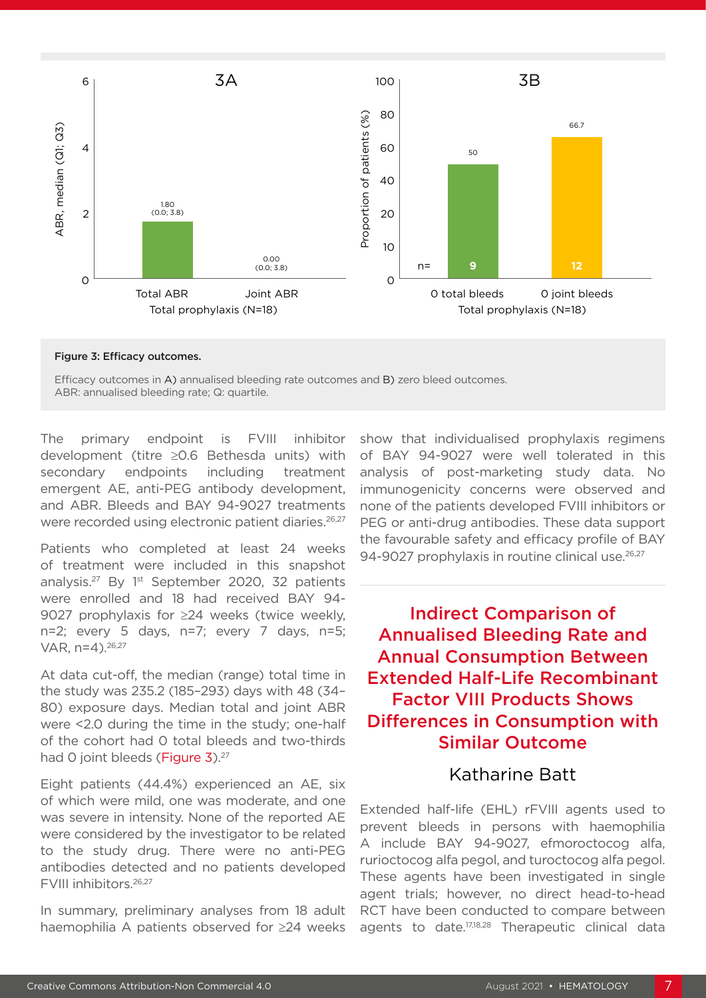

#### Figure 3: Efficacy outcomes.

Efficacy outcomes in A) annualised bleeding rate outcomes and B) zero bleed outcomes. ABR: annualised bleeding rate; Q: quartile.

The primary endpoint is FVIII inhibitor development (titre ≥0.6 Bethesda units) with secondary endpoints including treatment emergent AE, anti-PEG antibody development, and ABR. Bleeds and BAY 94-9027 treatments were recorded using electronic patient diaries.<sup>26,27</sup>

Patients who completed at least 24 weeks of treatment were included in this snapshot analysis.<sup>27</sup> By 1<sup>st</sup> September 2020, 32 patients were enrolled and 18 had received BAY 94- 9027 prophylaxis for ≥24 weeks (twice weekly, n=2; every 5 days, n=7; every 7 days, n=5; VAR, n=4).26,27

At data cut-off, the median (range) total time in the study was 235.2 (185–293) days with 48 (34– 80) exposure days. Median total and joint ABR were <2.0 during the time in the study; one-half of the cohort had 0 total bleeds and two-thirds had 0 joint bleeds (Figure 3).<sup>27</sup>

Eight patients (44.4%) experienced an AE, six of which were mild, one was moderate, and one was severe in intensity. None of the reported AE were considered by the investigator to be related to the study drug. There were no anti-PEG antibodies detected and no patients developed FVIII inhibitors.26,27

In summary, preliminary analyses from 18 adult haemophilia A patients observed for ≥24 weeks

show that individualised prophylaxis regimens of BAY 94-9027 were well tolerated in this analysis of post-marketing study data. No immunogenicity concerns were observed and none of the patients developed FVIII inhibitors or PEG or anti-drug antibodies. These data support the favourable safety and efficacy profile of BAY 94-9027 prophylaxis in routine clinical use.<sup>26,27</sup>

Indirect Comparison of Annualised Bleeding Rate and Annual Consumption Between Extended Half-Life Recombinant Factor VIII Products Shows Differences in Consumption with Similar Outcome

### Katharine Batt

Extended half-life (EHL) rFVIII agents used to prevent bleeds in persons with haemophilia A include BAY 94-9027, efmoroctocog alfa, rurioctocog alfa pegol, and turoctocog alfa pegol. These agents have been investigated in single agent trials; however, no direct head-to-head RCT have been conducted to compare between agents to date.17,18,28 Therapeutic clinical data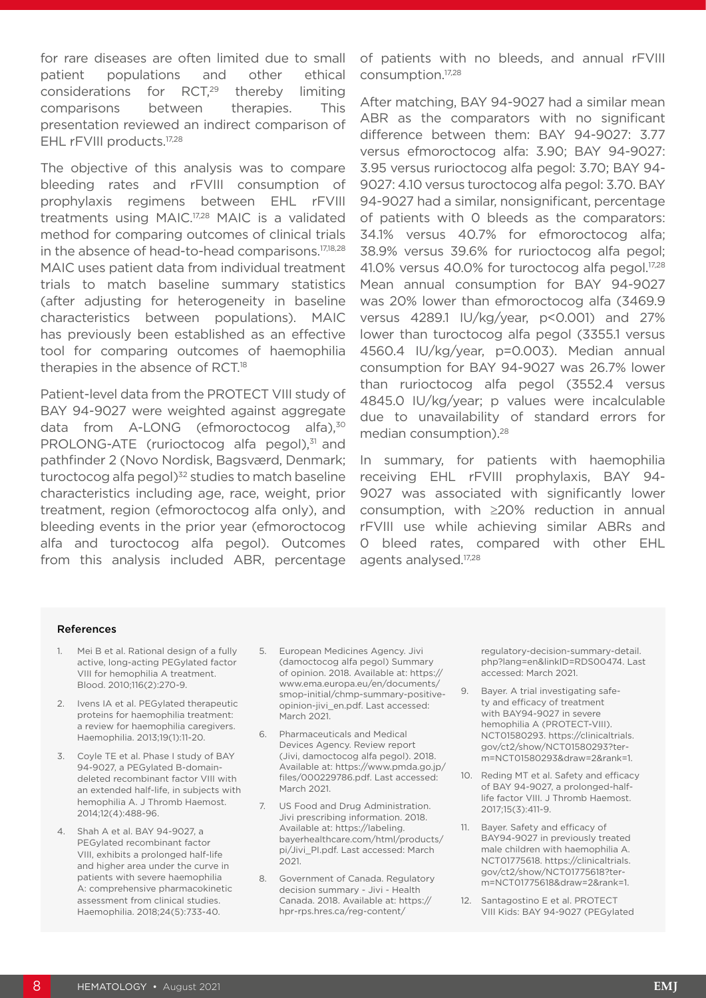for rare diseases are often limited due to small patient populations and other ethical considerations for RCT.<sup>29</sup> thereby limiting comparisons between therapies. This presentation reviewed an indirect comparison of EHL rFVIII products.<sup>17,28</sup>

The objective of this analysis was to compare bleeding rates and rFVIII consumption of prophylaxis regimens between EHL rFVIII treatments using MAIC.17,28 MAIC is a validated method for comparing outcomes of clinical trials in the absence of head-to-head comparisons.17,18,28 MAIC uses patient data from individual treatment trials to match baseline summary statistics (after adjusting for heterogeneity in baseline characteristics between populations). MAIC has previously been established as an effective tool for comparing outcomes of haemophilia therapies in the absence of RCT.18

Patient-level data from the PROTECT VIII study of BAY 94-9027 were weighted against aggregate data from A-LONG (efmoroctocog alfa),<sup>30</sup> PROLONG-ATE (rurioctocog alfa pegol),<sup>31</sup> and pathfinder 2 (Novo Nordisk, Bagsværd, Denmark; turoctocog alfa pegol) $32$  studies to match baseline characteristics including age, race, weight, prior treatment, region (efmoroctocog alfa only), and bleeding events in the prior year (efmoroctocog alfa and turoctocog alfa pegol). Outcomes from this analysis included ABR, percentage

of patients with no bleeds, and annual rFVIII consumption.17,28

After matching, BAY 94-9027 had a similar mean ABR as the comparators with no significant difference between them: BAY 94-9027: 3.77 versus efmoroctocog alfa: 3.90; BAY 94-9027: 3.95 versus rurioctocog alfa pegol: 3.70; BAY 94- 9027: 4.10 versus turoctocog alfa pegol: 3.70. BAY 94-9027 had a similar, nonsignificant, percentage of patients with 0 bleeds as the comparators: 34.1% versus 40.7% for efmoroctocog alfa; 38.9% versus 39.6% for rurioctocog alfa pegol; 41.0% versus 40.0% for turoctocog alfa pegol.<sup>17,28</sup> Mean annual consumption for BAY 94-9027 was 20% lower than efmoroctocog alfa (3469.9 versus 4289.1 IU/kg/year, p<0.001) and 27% lower than turoctocog alfa pegol (3355.1 versus 4560.4 IU/kg/year, p=0.003). Median annual consumption for BAY 94-9027 was 26.7% lower than rurioctocog alfa pegol (3552.4 versus 4845.0 IU/kg/year; p values were incalculable due to unavailability of standard errors for median consumption).<sup>28</sup>

In summary, for patients with haemophilia receiving EHL rFVIII prophylaxis, BAY 94- 9027 was associated with significantly lower consumption, with ≥20% reduction in annual rFVIII use while achieving similar ABRs and 0 bleed rates, compared with other EHL agents analysed.17,28

#### References

- Mei B et al. Rational design of a fully active, long-acting PEGylated factor VIII for hemophilia A treatment. Blood. 2010;116(2):270-9.
- 2. Ivens IA et al. PEGylated therapeutic proteins for haemophilia treatment: a review for haemophilia caregivers. Haemophilia. 2013;19(1):11-20.
- 3. Coyle TE et al. Phase I study of BAY 94-9027, a PEGylated B-domaindeleted recombinant factor VIII with an extended half-life, in subjects with hemophilia A. J Thromb Haemost. 2014;12(4):488-96.
- 4. Shah A et al. BAY 94-9027, a PEGylated recombinant factor VIII, exhibits a prolonged half-life and higher area under the curve in patients with severe haemophilia A: comprehensive pharmacokinetic assessment from clinical studies. Haemophilia. 2018;24(5):733-40.
- 5. European Medicines Agency. Jivi (damoctocog alfa pegol) Summary of opinion. 2018. Available at: https:// www.ema.europa.eu/en/documents/ smop-initial/chmp-summary-positiveopinion-jivi\_en.pdf. Last accessed: March 2021.
- 6. Pharmaceuticals and Medical Devices Agency. Review report (Jivi, damoctocog alfa pegol). 2018. Available at: https://www.pmda.go.jp/ files/000229786.pdf. Last accessed: March 2021.
- 7. US Food and Drug Administration. Jivi prescribing information. 2018. Available at: https://labeling. bayerhealthcare.com/html/products/ pi/Jivi\_PI.pdf. Last accessed: March 2021.
- 8. Government of Canada. Regulatory decision summary - Jivi - Health Canada. 2018. Available at: https:// hpr-rps.hres.ca/reg-content/

regulatory-decision-summary-detail. php?lang=en&linkID=RDS00474. Last accessed: March 2021.

- 9. Bayer. A trial investigating safety and efficacy of treatment with BAY94-9027 in severe hemophilia A (PROTECT-VIII). NCT01580293. https://clinicaltrials. gov/ct2/show/NCT01580293?term=NCT01580293&draw=2&rank=1.
- 10. Reding MT et al. Safety and efficacy of BAY 94-9027, a prolonged-halflife factor VIII. J Thromb Haemost. 2017;15(3):411-9.
- 11. Bayer. Safety and efficacy of BAY94-9027 in previously treated male children with haemophilia A. NCT01775618. https://clinicaltrials. gov/ct2/show/NCT01775618?term=NCT01775618&draw=2&rank=1.
- 12. Santagostino E et al. PROTECT VIII Kids: BAY 94-9027 (PEGylated